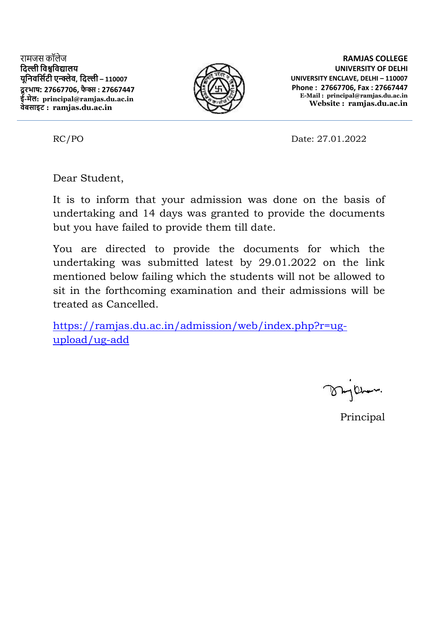रामजस कॉलेज **दिल्ली दिश्वदिद्यालय यूदििदसिटी एन्क्लेि, दिल्ली – 110007 िूरभाष: 27667706, फै क्स : 27667447 ई-मेल: principal@ramjas.du.ac.in िेबसाइट : ramjas.du.ac.in**



**RAMJAS COLLEGE UNIVERSITY OF DELHI UNIVERSITY ENCLAVE, DELHI – 110007 Phone : 27667706, Fax : 27667447 E-Mail : principal@ramjas.du.ac.in Website : ramjas.du.ac.in**

RC/PO Date: 27.01.2022

Dear Student,

It is to inform that your admission was done on the basis of undertaking and 14 days was granted to provide the documents but you have failed to provide them till date.

You are directed to provide the documents for which the undertaking was submitted latest by 29.01.2022 on the link mentioned below failing which the students will not be allowed to sit in the forthcoming examination and their admissions will be treated as Cancelled.

[https://ramjas.du.ac.in/admission/web/index.php?r=ug](https://ramjas.du.ac.in/admission/web/index.php?r=ug-upload/ug-add)[upload/ug-add](https://ramjas.du.ac.in/admission/web/index.php?r=ug-upload/ug-add)

Principal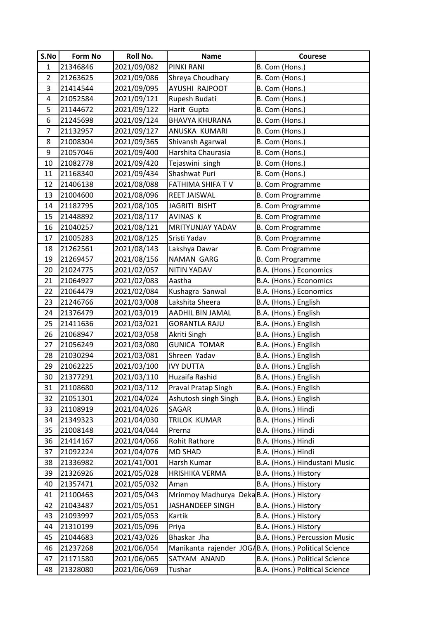| S.No           | <b>Form No</b> | Roll No.    | <b>Name</b>                                | <b>Courese</b>                                        |
|----------------|----------------|-------------|--------------------------------------------|-------------------------------------------------------|
| $\mathbf{1}$   | 21346846       | 2021/09/082 | PINKI RANI                                 | B. Com (Hons.)                                        |
| $\overline{2}$ | 21263625       | 2021/09/086 | Shreya Choudhary                           | B. Com (Hons.)                                        |
| 3              | 21414544       | 2021/09/095 | AYUSHI RAJPOOT                             | B. Com (Hons.)                                        |
| 4              | 21052584       | 2021/09/121 | Rupesh Budati                              | B. Com (Hons.)                                        |
| 5              | 21144672       | 2021/09/122 | Harit Gupta                                | B. Com (Hons.)                                        |
| 6              | 21245698       | 2021/09/124 | <b>BHAVYA KHURANA</b>                      | B. Com (Hons.)                                        |
| $\overline{7}$ | 21132957       | 2021/09/127 | ANUSKA KUMARI                              | B. Com (Hons.)                                        |
| 8              | 21008304       | 2021/09/365 | Shivansh Agarwal                           | B. Com (Hons.)                                        |
| 9              | 21057046       | 2021/09/400 | Harshita Chaurasia                         | B. Com (Hons.)                                        |
| 10             | 21082778       | 2021/09/420 | Tejaswini singh                            | B. Com (Hons.)                                        |
| 11             | 21168340       | 2021/09/434 | Shashwat Puri                              | B. Com (Hons.)                                        |
| 12             | 21406138       | 2021/08/088 | FATHIMA SHIFA TV                           | <b>B. Com Programme</b>                               |
| 13             | 21004600       | 2021/08/096 | <b>REET JAISWAL</b>                        | B. Com Programme                                      |
| 14             | 21182795       | 2021/08/105 | JAGRITI BISHT                              | <b>B. Com Programme</b>                               |
| 15             | 21448892       | 2021/08/117 | AVINAS K                                   | <b>B. Com Programme</b>                               |
| 16             | 21040257       | 2021/08/121 | MRITYUNJAY YADAV                           | B. Com Programme                                      |
| 17             | 21005283       | 2021/08/125 | Sristi Yadav                               | <b>B. Com Programme</b>                               |
| 18             | 21262561       | 2021/08/143 | Lakshya Dawar                              | <b>B. Com Programme</b>                               |
| 19             | 21269457       | 2021/08/156 | NAMAN GARG                                 | B. Com Programme                                      |
| 20             | 21024775       | 2021/02/057 | <b>NITIN YADAV</b>                         | B.A. (Hons.) Economics                                |
| 21             | 21064927       | 2021/02/083 | Aastha                                     | B.A. (Hons.) Economics                                |
| 22             | 21064479       | 2021/02/084 | Kushagra Sanwal                            | B.A. (Hons.) Economics                                |
| 23             | 21246766       | 2021/03/008 | Lakshita Sheera                            | B.A. (Hons.) English                                  |
| 24             | 21376479       | 2021/03/019 | AADHIL BIN JAMAL                           | B.A. (Hons.) English                                  |
| 25             | 21411636       | 2021/03/021 | <b>GORANTLA RAJU</b>                       | B.A. (Hons.) English                                  |
| 26             | 21068947       | 2021/03/058 | Akriti Singh                               | B.A. (Hons.) English                                  |
| 27             | 21056249       | 2021/03/080 | <b>GUNICA TOMAR</b>                        | B.A. (Hons.) English                                  |
| 28             | 21030294       | 2021/03/081 | Shreen Yadav                               | B.A. (Hons.) English                                  |
| 29             | 21062225       | 2021/03/100 | <b>IVY DUTTA</b>                           | B.A. (Hons.) English                                  |
| 30             | 21377291       | 2021/03/110 | Huzaifa Rashid                             | B.A. (Hons.) English                                  |
| 31             | 21108680       | 2021/03/112 | Praval Pratap Singh                        | B.A. (Hons.) English                                  |
| 32             | 21051301       | 2021/04/024 | Ashutosh singh Singh                       | B.A. (Hons.) English                                  |
| 33             | 21108919       | 2021/04/026 | SAGAR                                      | B.A. (Hons.) Hindi                                    |
| 34             | 21349323       | 2021/04/030 | TRILOK KUMAR                               | B.A. (Hons.) Hindi                                    |
| 35             | 21008148       | 2021/04/044 | Prerna                                     | B.A. (Hons.) Hindi                                    |
| 36             | 21414167       | 2021/04/066 | <b>Rohit Rathore</b>                       | B.A. (Hons.) Hindi                                    |
| 37             | 21092224       | 2021/04/076 | <b>MD SHAD</b>                             | B.A. (Hons.) Hindi                                    |
| 38             | 21336982       | 2021/41/001 | Harsh Kumar                                | B.A. (Hons.) Hindustani Music                         |
| 39             | 21326926       | 2021/05/028 | HRISHIKA VERMA                             | B.A. (Hons.) History                                  |
| 40             | 21357471       | 2021/05/032 | Aman                                       | B.A. (Hons.) History                                  |
| 41             | 21100463       | 2021/05/043 | Mrinmoy Madhurya Deka B.A. (Hons.) History |                                                       |
| 42             | 21043487       | 2021/05/051 | JASHANDEEP SINGH                           | B.A. (Hons.) History                                  |
| 43             | 21093997       | 2021/05/053 | Kartik                                     | B.A. (Hons.) History                                  |
| 44             | 21310199       | 2021/05/096 | Priya                                      | B.A. (Hons.) History                                  |
| 45             | 21044683       | 2021/43/026 | Bhaskar Jha                                | B.A. (Hons.) Percussion Music                         |
| 46             | 21237268       | 2021/06/054 |                                            | Manikanta rajender JOGAB.A. (Hons.) Political Science |
| 47             | 21171580       | 2021/06/065 | SATYAM ANAND                               | B.A. (Hons.) Political Science                        |
| 48             | 21328080       | 2021/06/069 | Tushar                                     | B.A. (Hons.) Political Science                        |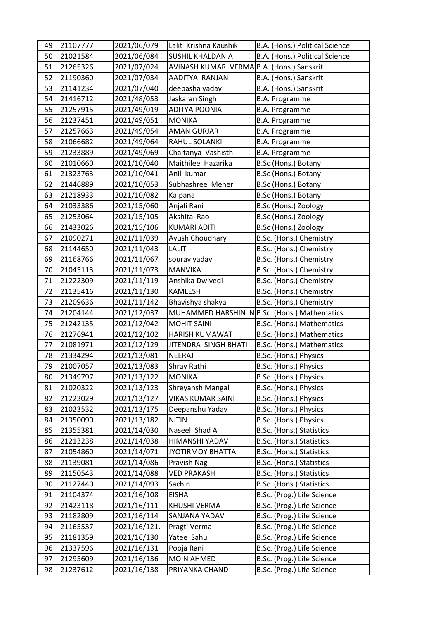| 49 | 21107777 | 2021/06/079  | Lalit Krishna Kaushik                     | B.A. (Hons.) Political Science              |
|----|----------|--------------|-------------------------------------------|---------------------------------------------|
| 50 | 21021584 | 2021/06/084  | <b>SUSHIL KHALDANIA</b>                   | B.A. (Hons.) Political Science              |
| 51 | 21265326 | 2021/07/024  | AVINASH KUMAR VERMA B.A. (Hons.) Sanskrit |                                             |
| 52 | 21190360 | 2021/07/034  | AADITYA RANJAN                            | B.A. (Hons.) Sanskrit                       |
| 53 | 21141234 | 2021/07/040  | deepasha yadav                            | B.A. (Hons.) Sanskrit                       |
| 54 | 21416712 | 2021/48/053  | Jaskaran Singh                            | <b>B.A. Programme</b>                       |
| 55 | 21257915 | 2021/49/019  | <b>ADITYA POONIA</b>                      | <b>B.A. Programme</b>                       |
| 56 | 21237451 | 2021/49/051  | <b>MONIKA</b>                             | <b>B.A. Programme</b>                       |
| 57 | 21257663 | 2021/49/054  | <b>AMAN GURJAR</b>                        | <b>B.A. Programme</b>                       |
| 58 | 21066682 | 2021/49/064  | RAHUL SOLANKI                             | <b>B.A. Programme</b>                       |
| 59 | 21233889 | 2021/49/069  | Chaitanya Vashisth                        | <b>B.A. Programme</b>                       |
| 60 | 21010660 | 2021/10/040  | Maithilee Hazarika                        | B.Sc (Hons.) Botany                         |
| 61 | 21323763 | 2021/10/041  | Anil kumar                                | B.Sc (Hons.) Botany                         |
| 62 | 21446889 | 2021/10/053  | Subhashree Meher                          | B.Sc (Hons.) Botany                         |
| 63 | 21218933 | 2021/10/082  | Kalpana                                   | B.Sc (Hons.) Botany                         |
| 64 | 21033386 | 2021/15/060  | Anjali Rani                               | B.Sc (Hons.) Zoology                        |
| 65 | 21253064 | 2021/15/105  | Akshita Rao                               | B.Sc (Hons.) Zoology                        |
| 66 | 21433026 | 2021/15/106  | <b>KUMARI ADITI</b>                       | B.Sc (Hons.) Zoology                        |
| 67 | 21090271 | 2021/11/039  | Ayush Choudhary                           | B.Sc. (Hons.) Chemistry                     |
| 68 | 21144650 | 2021/11/043  | <b>LALIT</b>                              | B.Sc. (Hons.) Chemistry                     |
| 69 | 21168766 | 2021/11/067  | sourav yadav                              | B.Sc. (Hons.) Chemistry                     |
| 70 | 21045113 | 2021/11/073  | <b>MANVIKA</b>                            | B.Sc. (Hons.) Chemistry                     |
| 71 | 21222309 | 2021/11/119  | Anshika Dwivedi                           | B.Sc. (Hons.) Chemistry                     |
| 72 | 21135416 | 2021/11/130  | <b>KAMLESH</b>                            | B.Sc. (Hons.) Chemistry                     |
| 73 | 21209636 | 2021/11/142  | Bhavishya shakya                          | B.Sc. (Hons.) Chemistry                     |
| 74 | 21204144 | 2021/12/037  |                                           | MUHAMMED HARSHIN NB.Sc. (Hons.) Mathematics |
| 75 | 21242135 | 2021/12/042  | <b>MOHIT SAINI</b>                        | B.Sc. (Hons.) Mathematics                   |
| 76 | 21276941 | 2021/12/102  | <b>HARISH KUMAWAT</b>                     | B.Sc. (Hons.) Mathematics                   |
| 77 | 21081971 | 2021/12/129  | JITENDRA SINGH BHATI                      | B.Sc. (Hons.) Mathematics                   |
| 78 | 21334294 | 2021/13/081  | NEERAJ                                    | B.Sc. (Hons.) Physics                       |
| 79 | 21007057 | 2021/13/083  | Shray Rathi                               | B.Sc. (Hons.) Physics                       |
| 80 | 21349797 | 2021/13/122  | <b>MONIKA</b>                             | B.Sc. (Hons.) Physics                       |
| 81 | 21020322 | 2021/13/123  | Shreyansh Mangal                          | B.Sc. (Hons.) Physics                       |
| 82 | 21223029 | 2021/13/127  | VIKAS KUMAR SAINI                         | B.Sc. (Hons.) Physics                       |
| 83 | 21023532 | 2021/13/175  | Deepanshu Yadav                           | B.Sc. (Hons.) Physics                       |
| 84 | 21350090 | 2021/13/182  | <b>NITIN</b>                              | B.Sc. (Hons.) Physics                       |
| 85 | 21355381 | 2021/14/030  | Naseel Shad A                             | B.Sc. (Hons.) Statistics                    |
| 86 | 21213238 | 2021/14/038  | HIMANSHI YADAV                            | B.Sc. (Hons.) Statistics                    |
| 87 | 21054860 | 2021/14/071  | <b>JYOTIRMOY BHATTA</b>                   | B.Sc. (Hons.) Statistics                    |
| 88 | 21139081 | 2021/14/086  | Pravish Nag                               | B.Sc. (Hons.) Statistics                    |
| 89 | 21150543 | 2021/14/088  | <b>VED PRAKASH</b>                        | B.Sc. (Hons.) Statistics                    |
| 90 | 21127440 | 2021/14/093  | Sachin                                    | B.Sc. (Hons.) Statistics                    |
| 91 | 21104374 | 2021/16/108  | <b>EISHA</b>                              | B.Sc. (Prog.) Life Science                  |
| 92 | 21423118 | 2021/16/111  | KHUSHI VERMA                              | B.Sc. (Prog.) Life Science                  |
| 93 | 21182809 | 2021/16/114  | SANJANA YADAV                             | B.Sc. (Prog.) Life Science                  |
| 94 | 21165537 | 2021/16/121. | Pragti Verma                              | B.Sc. (Prog.) Life Science                  |
| 95 | 21181359 | 2021/16/130  | Yatee Sahu                                | B.Sc. (Prog.) Life Science                  |
| 96 | 21337596 | 2021/16/131  | Pooja Rani                                | B.Sc. (Prog.) Life Science                  |
| 97 | 21295609 | 2021/16/136  | <b>MOIN AHMED</b>                         | B.Sc. (Prog.) Life Science                  |
| 98 | 21237612 | 2021/16/138  | PRIYANKA CHAND                            | B.Sc. (Prog.) Life Science                  |